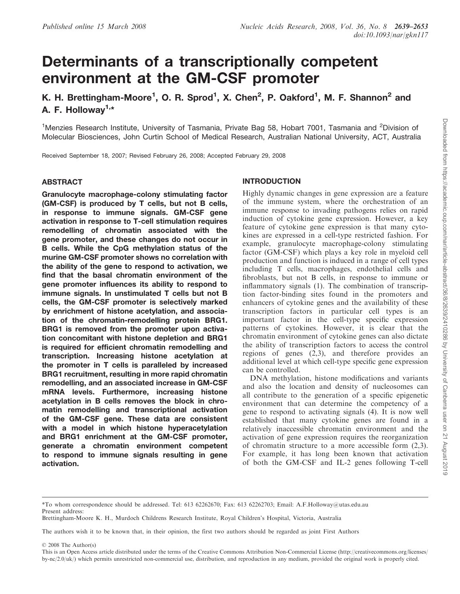# Determinants of a transcriptionally competent environment at the GM-CSF promoter

K. H. Brettingham-Moore<sup>1</sup>, O. R. Sprod<sup>1</sup>, X. Chen<sup>2</sup>, P. Oakford<sup>1</sup>, M. F. Shannon<sup>2</sup> and A. F. Holloway<sup>1,\*</sup>

<sup>1</sup>Menzies Research Institute, University of Tasmania, Private Bag 58, Hobart 7001, Tasmania and <sup>2</sup>Division of Molecular Biosciences, John Curtin School of Medical Research, Australian National University, ACT, Australia

Received September 18, 2007; Revised February 26, 2008; Accepted February 29, 2008

## ABSTRACT

Granulocyte macrophage-colony stimulating factor (GM-CSF) is produced by T cells, but not B cells, in response to immune signals. GM-CSF gene activation in response to T-cell stimulation requires remodelling of chromatin associated with the gene promoter, and these changes do not occur in B cells. While the CpG methylation status of the murine GM-CSF promoter shows no correlation with the ability of the gene to respond to activation, we find that the basal chromatin environment of the gene promoter influences its ability to respond to immune signals. In unstimulated T cells but not B cells, the GM-CSF promoter is selectively marked by enrichment of histone acetylation, and association of the chromatin-remodelling protein BRG1. BRG1 is removed from the promoter upon activation concomitant with histone depletion and BRG1 is required for efficient chromatin remodelling and transcription. Increasing histone acetylation at the promoter in T cells is paralleled by increased BRG1 recruitment, resulting in more rapid chromatin remodelling, and an associated increase in GM-CSF mRNA levels. Furthermore, increasing histone acetylation in B cells removes the block in chromatin remodelling and transcriptional activation of the GM-CSF gene. These data are consistent with a model in which histone hyperacetylation and BRG1 enrichment at the GM-CSF promoter, generate a chromatin environment competent to respond to immune signals resulting in gene activation.

## INTRODUCTION

Highly dynamic changes in gene expression are a feature of the immune system, where the orchestration of an immune response to invading pathogens relies on rapid induction of cytokine gene expression. However, a key feature of cytokine gene expression is that many cytokines are expressed in a cell-type restricted fashion. For example, granulocyte macrophage-colony stimulating factor (GM-CSF) which plays a key role in myeloid cell production and function is induced in a range of cell types including T cells, macrophages, endothelial cells and fibroblasts, but not B cells, in response to immune or inflammatory signals (1). The combination of transcription factor-binding sites found in the promoters and enhancers of cytokine genes and the availability of these transcription factors in particular cell types is an important factor in the cell-type specific expression patterns of cytokines. However, it is clear that the chromatin environment of cytokine genes can also dictate the ability of transcription factors to access the control regions of genes (2,3), and therefore provides an additional level at which cell-type specific gene expression can be controlled.

DNA methylation, histone modifications and variants and also the location and density of nucleosomes can all contribute to the generation of a specific epigenetic environment that can determine the competency of a gene to respond to activating signals (4). It is now well established that many cytokine genes are found in a relatively inaccessible chromatin environment and the activation of gene expression requires the reorganization of chromatin structure to a more accessible form (2,3). For example, it has long been known that activation of both the GM-CSF and IL-2 genes following T-cell

2008 The Author(s)

Present address: \*To whom correspondence should be addressed. Tel: 613 62262670; Fax: 613 62262703; Email: A.F.Holloway@utas.edu.au

Brettingham-Moore K. H., Murdoch Childrens Research Institute, Royal Children's Hospital, Victoria, Australia

The authors wish it to be known that, in their opinion, the first two authors should be regarded as joint First Authors

This is an Open Access article distributed under the terms of the Creative Commons Attribution Non-Commercial License (http://creativecommons.org/licenses/ by-nc/2.0/uk/) which permits unrestricted non-commercial use, distribution, and reproduction in any medium, provided the original work is properly cited.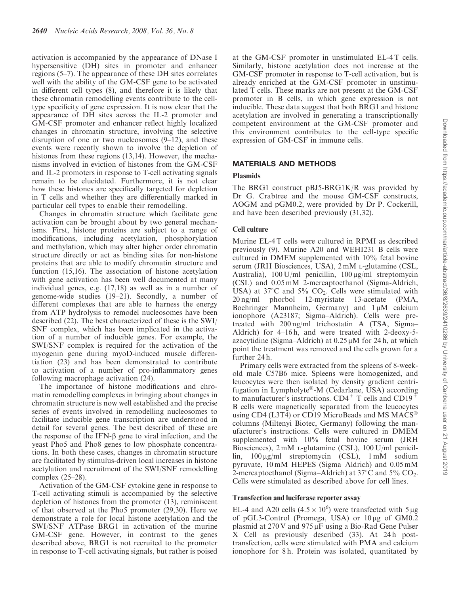activation is accompanied by the appearance of DNase I hypersensitive (DH) sites in promoter and enhancer regions (5–7). The appearance of these DH sites correlates well with the ability of the GM-CSF gene to be activated in different cell types (8), and therefore it is likely that these chromatin remodelling events contribute to the celltype specificity of gene expression. It is now clear that the appearance of DH sites across the IL-2 promoter and GM-CSF promoter and enhancer reflect highly localized changes in chromatin structure, involving the selective disruption of one or two nucleosomes  $(9-12)$ , and these events were recently shown to involve the depletion of histones from these regions  $(13,14)$ . However, the mechanisms involved in eviction of histones from the GM-CSF and IL-2 promoters in response to T-cell activating signals remain to be elucidated. Furthermore, it is not clear how these histones are specifically targeted for depletion in T cells and whether they are differentially marked in particular cell types to enable their remodelling.

Changes in chromatin structure which facilitate gene activation can be brought about by two general mechanisms. First, histone proteins are subject to a range of modifications, including acetylation, phosphorylation and methylation, which may alter higher order chromatin structure directly or act as binding sites for non-histone proteins that are able to modify chromatin structure and function (15,16). The association of histone acetylation with gene activation has been well documented at many individual genes, e.g. (17,18) as well as in a number of genome-wide studies (19–21). Secondly, a number of different complexes that are able to harness the energy from ATP hydrolysis to remodel nucleosomes have been described (22). The best characterized of these is the SWI/ SNF complex, which has been implicated in the activation of a number of inducible genes. For example, the SWI/SNF complex is required for the activation of the myogenin gene during myoD-induced muscle differentiation (23) and has been demonstrated to contribute to activation of a number of pro-inflammatory genes following macrophage activation (24).

The importance of histone modifications and chromatin remodelling complexes in bringing about changes in chromatin structure is now well established and the precise series of events involved in remodelling nucleosomes to facilitate inducible gene transcription are understood in detail for several genes. The best described of these are the response of the IFN- $\beta$  gene to viral infection, and the yeast Pho5 and Pho8 genes to low phosphate concentrations. In both these cases, changes in chromatin structure are facilitated by stimulus-driven local increases in histone acetylation and recruitment of the SWI/SNF remodelling complex (25–28).

Activation of the GM-CSF cytokine gene in response to T-cell activating stimuli is accompanied by the selective depletion of histones from the promoter (13), reminiscent of that observed at the Pho5 promoter (29,30). Here we demonstrate a role for local histone acetylation and the SWI/SNF ATPase BRG1 in activation of the murine GM-CSF gene. However, in contrast to the genes described above, BRG1 is not recruited to the promoter in response to T-cell activating signals, but rather is poised

at the GM-CSF promoter in unstimulated EL-4 T cells. Similarly, histone acetylation does not increase at the GM-CSF promoter in response to T-cell activation, but is already enriched at the GM-CSF promoter in unstimulated T cells. These marks are not present at the GM-CSF promoter in B cells, in which gene expression is not inducible. These data suggest that both BRG1 and histone acetylation are involved in generating a transcriptionally competent environment at the GM-CSF promoter and this environment contributes to the cell-type specific expression of GM-CSF in immune cells.

## MATERIALS AND METHODS

## Plasmids

The BRG1 construct pBJ5-BRG1K/R was provided by Dr G. Crabtree and the mouse GM-CSF constructs, AOGM and pGM0.2, were provided by Dr P. Cockerill, and have been described previously (31,32).

## Cell culture

Murine EL-4 T cells were cultured in RPMI as described previously (9). Murine A20 and WEHI231 B cells were cultured in DMEM supplemented with 10% fetal bovine serum (JRH Biosciences, USA), 2 mM L-glutamine (CSL, Australia),  $100 \text{ U/ml}$  penicillin,  $100 \mu\text{g/ml}$  streptomycin (CSL) and 0.05 mM 2-mercaptoethanol (Sigma-Aldrich, USA) at  $37^{\circ}$ C and  $5\%$  CO<sub>2</sub>. Cells were stimulated with 20 ng/ml phorbol 12-myristate 13-acetate (PMA, Boehringer Mannheim, Germany) and  $1 \mu M$  calcium ionophore (A23187; Sigma–Aldrich). Cells were pretreated with 200 ng/ml trichostatin A (TSA, Sigma– Aldrich) for 4–16h, and were treated with 2-deoxy-5azacytidine (Sigma–Aldrich) at  $0.25 \mu M$  for 24 h, at which point the treatment was removed and the cells grown for a further 24 h.

Primary cells were extracted from the spleens of 8-weekold male C57B6 mice. Spleens were homogenized, and leucocytes were then isolated by density gradient centrifugation in Lympholyte®-M (Cedarlane, USA) according to manufacturer's instructions.  $CD4^+$  T cells and  $CD19^+$ B cells were magnetically separated from the leucocytes using CD4 (L3T4) or CD19 MicroBeads and MS MACS<sup>®</sup> columns (Miltenyi Biotec, Germany) following the manufacturer's instructions. Cells were cultured in DMEM supplemented with 10% fetal bovine serum (JRH Biosciences), 2 mM L-glutamine (CSL), 100 U/ml penicillin,  $100 \mu\text{g/ml}$  streptomycin (CSL),  $1 \text{ mM}$  sodium pyruvate, 10 mM HEPES (Sigma–Aldrich) and 0.05 mM 2-mercaptoethanol (Sigma–Aldrich) at  $37^{\circ}$ C and  $5\%$  CO<sub>2</sub>. Cells were stimulated as described above for cell lines.

## Transfection and luciferase reporter assay

EL-4 and A20 cells  $(4.5 \times 10^6)$  were transfected with 5 µg of pGL3-Control (Promega, USA) or  $10 \mu$ g of GM0.2 plasmid at  $270 \text{ V}$  and  $975 \mu \text{F}$  using a Bio-Rad Gene Pulser X Cell as previously described (33). At 24h posttransfection, cells were stimulated with PMA and calcium ionophore for 8 h. Protein was isolated, quantitated by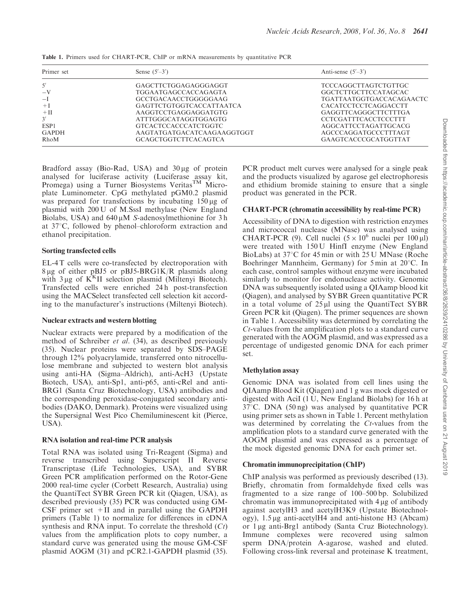| Primer set   | Sense $(5'–3')$                 | Anti-sense $(5'-3')$        |  |
|--------------|---------------------------------|-----------------------------|--|
| 51           | GAGCTTCTGGAGAGGGAGGT            | <b>TCCCAGGCTTAGTCTGTTGC</b> |  |
| $-V$         | TGGAATGAGCCACCAGAGTA            | GGCTCTTGCTTCCATAGCAC        |  |
| $-I$         | GCCTGACAACCTGGGGGAAG            | TGATTAATGGTGACCACAGAACTC    |  |
| $+I$         | <b>GAGTTCTGTGGTCACCATTAATCA</b> | CACATCCTCCTCAGGACCTT        |  |
| $+$ II       | AAGGTCCTGAGGAGGATGTG            | <b>GAGGTTCAGGGCTTCTTTGA</b> |  |
| 3'           | ATTTGGGCATAGGTGGAGTG            | <b>CCTCGATTTCACCTCCCTTT</b> |  |
| ESP1         | GTCACTCCACCCATCTGGTC            | AGGCATTCCTAGATTGCACG        |  |
| <b>GAPDH</b> | AAGTATGATGACATCAAGAAGGTGGT      | AGCCCAGGATGCCCTTTAGT        |  |
| RhoM         | <b>GCAGCTGGTCTTCACAGTCA</b>     | GAAGTCACCCGCATGGTTAT        |  |
|              |                                 |                             |  |

Table 1. Primers used for CHART-PCR, ChIP or mRNA measurements by quantitative PCR

Bradford assay (Bio-Rad, USA) and  $30 \mu$ g of protein analysed for luciferase activity (Luciferase assay kit, Promega) using a Turner Biosystems Veritas<sup>TM</sup> Microplate Luminometer. CpG methylated pGM0.2 plasmid was prepared for transfections by incubating  $150 \mu$ g of plasmid with 200 U of M.SssI methylase (New England Biolabs, USA) and  $640 \mu M$  S-adenosylmethionine for 3 h at  $37^{\circ}$ C, followed by phenol–chloroform extraction and ethanol precipitation.

# Sorting transfected cells

EL-4 T cells were co-transfected by electroporation with  $8 \mu$ g of either pBJ5 or pBJ5-BRG1K/R plasmids along with  $3 \mu$ g of K<sup>K</sup>II selection plasmid (Miltenyi Biotech). Transfected cells were enriched 24 h post-transfection using the MACSelect transfected cell selection kit according to the manufacturer's instructions (Miltenyi Biotech).

# Nuclear extracts and western blotting

Nuclear extracts were prepared by a modification of the method of Schreiber et al. (34), as described previously (35). Nuclear proteins were separated by SDS–PAGE through 12% polyacrylamide, transferred onto nitrocellulose membrane and subjected to western blot analysis using anti-HA (Sigma–Aldrich), anti-AcH3 (Upstate Biotech, USA), anti-Sp1, anti-p65, anti-cRel and anti-BRG1 (Santa Cruz Biotechnology, USA) antibodies and the corresponding peroxidase-conjugated secondary antibodies (DAKO, Denmark). Proteins were visualized using the Supersignal West Pico Chemiluminescent kit (Pierce, USA).

# RNA isolation and real-time PCR analysis

Total RNA was isolated using Tri-Reagent (Sigma) and reverse transcribed using Superscript II Reverse Transcriptase (Life Technologies, USA), and SYBR Green PCR amplification performed on the Rotor-Gene 2000 real-time cycler (Corbett Research, Australia) using the QuantiTect SYBR Green PCR kit (Qiagen, USA), as described previously (35) PCR was conducted using GM-CSF primer set  $+II$  and in parallel using the GAPDH primers (Table 1) to normalize for differences in cDNA synthesis and RNA input. To correlate the threshold  $(Ct)$ values from the amplification plots to copy number, a standard curve was generated using the mouse GM-CSF plasmid AOGM (31) and pCR2.1-GAPDH plasmid (35). PCR product melt curves were analysed for a single peak and the products visualized by agarose gel electrophoresis and ethidium bromide staining to ensure that a single product was generated in the PCR.

# CHART-PCR (chromatin accessibility by real-time PCR)

Accessibility of DNA to digestion with restriction enzymes and micrococcal nuclease (MNase) was analysed using CHART-PCR (9). Cell nuclei  $(5 \times 10^6$  nuclei per  $100 \mu I$ ) were treated with 150 U HinfI enzyme (New England BioLabs) at  $37^{\circ}$ C for 45 min or with 25 U MNase (Roche Boehringer Mannheim, Germany) for  $5 \text{ min}$  at  $20^{\circ}$ C. In each case, control samples without enzyme were incubated similarly to monitor for endonuclease activity. Genomic DNA was subsequently isolated using a QIAamp blood kit (Qiagen), and analysed by SYBR Green quantitative PCR in a total volume of  $25 \mu l$  using the QuantiTect SYBR Green PCR kit (Qiagen). The primer sequences are shown in Table 1. Accessibility was determined by correlating the Ct-values from the amplification plots to a standard curve generated with the AOGM plasmid, and was expressed as a percentage of undigested genomic DNA for each primer set.

# Methylation assay

Genomic DNA was isolated from cell lines using the QIAamp Blood Kit (Qiagen) and 1 g was mock digested or digested with AciI (1 U, New England Biolabs) for 16 h at  $37^{\circ}$ C. DNA (50 ng) was analysed by quantitative PCR using primer sets as shown in Table 1. Percent methylation was determined by correlating the Ct-values from the amplification plots to a standard curve generated with the AOGM plasmid and was expressed as a percentage of the mock digested genomic DNA for each primer set.

# Chromatin immunoprecipitation (ChIP)

ChIP analysis was performed as previously described (13). Briefly, chromatin from formaldehyde fixed cells was fragmented to a size range of 100–500 bp. Solubilized chromatin was immunoprecipitated with  $4 \mu$ g of antibody against acetylH3 and acetylH3K9 (Upstate Biotechnology),  $1.5 \mu$ g anti-acetyl H4 and anti-histone H3 (Abcam) or 1 mg anti-Brg1 antibody (Santa Cruz Biotechnology). Immune complexes were recovered using salmon sperm DNA/protein A-agarose, washed and eluted. Following cross-link reversal and proteinase K treatment,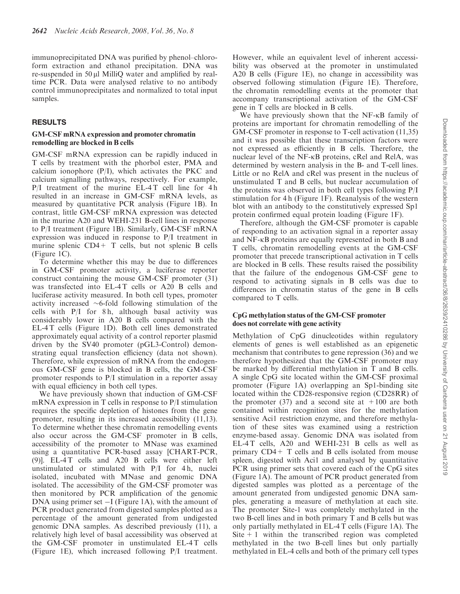immunoprecipitated DNA was purified by phenol–chloroform extraction and ethanol precipitation. DNA was re-suspended in 50 µl MilliQ water and amplified by realtime PCR. Data were analysed relative to no antibody control immunoprecipitates and normalized to total input samples.

## RESULTS

#### GM-CSF mRNA expression and promoter chromatin remodelling are blocked in B cells

GM-CSF mRNA expression can be rapidly induced in T cells by treatment with the phorbol ester, PMA and calcium ionophore (P/I), which activates the PKC and calcium signalling pathways, respectively. For example,  $P/I$  treatment of the murine EL-4T cell line for 4h resulted in an increase in GM-CSF mRNA levels, as measured by quantitative PCR analysis (Figure 1B). In contrast, little GM-CSF mRNA expression was detected in the murine A20 and WEHI-231 B-cell lines in response to P/I treatment (Figure 1B). Similarly, GM-CSF mRNA expression was induced in response to P/I treatment in murine splenic CD4+ T cells, but not splenic B cells (Figure 1C).

To determine whether this may be due to differences in GM-CSF promoter activity, a luciferase reporter construct containing the mouse GM-CSF promoter (31) was transfected into EL-4 T cells or A20 B cells and luciferase activity measured. In both cell types, promoter activity increased  $\sim$ 6-fold following stimulation of the cells with  $P/I$  for 8h, although basal activity was considerably lower in A20 B cells compared with the EL-4 T cells (Figure 1D). Both cell lines demonstrated approximately equal activity of a control reporter plasmid driven by the SV40 promoter (pGL3-Control) demonstrating equal transfection efficiency (data not shown). Therefore, while expression of mRNA from the endogenous GM-CSF gene is blocked in B cells, the GM-CSF promoter responds to P/I stimulation in a reporter assay with equal efficiency in both cell types.

We have previously shown that induction of GM-CSF mRNA expression in T cells in response to P/I stimulation requires the specific depletion of histones from the gene promoter, resulting in its increased accessibility (11,13). To determine whether these chromatin remodelling events also occur across the GM-CSF promoter in B cells, accessibility of the promoter to MNase was examined using a quantitative PCR-based assay [CHART-PCR, (9)]. EL-4 T cells and A20 B cells were either left unstimulated or stimulated with  $P/I$  for 4h, nuclei isolated, incubated with MNase and genomic DNA isolated. The accessibility of the GM-CSF promoter was then monitored by PCR amplification of the genomic DNA using primer set -I (Figure 1A), with the amount of PCR product generated from digested samples plotted as a percentage of the amount generated from undigested genomic DNA samples. As described previously (11), a relatively high level of basal accessibility was observed at the GM-CSF promoter in unstimulated EL-4T cells (Figure 1E), which increased following P/I treatment.

However, while an equivalent level of inherent accessibility was observed at the promoter in unstimulated A20 B cells (Figure 1E), no change in accessibility was observed following stimulation (Figure 1E). Therefore, the chromatin remodelling events at the promoter that accompany transcriptional activation of the GM-CSF gene in T cells are blocked in B cells.

We have previously shown that the NF-<sub>KB</sub> family of proteins are important for chromatin remodelling of the GM-CSF promoter in response to T-cell activation (11,35) and it was possible that these transcription factors were not expressed as efficiently in B cells. Therefore, the nuclear level of the NF-kB proteins, cRel and RelA, was determined by western analysis in the B- and T-cell lines. Little or no RelA and cRel was present in the nucleus of unstimulated T and B cells, but nuclear accumulation of the proteins was observed in both cell types following P/I stimulation for 4 h (Figure 1F). Reanalysis of the western blot with an antibody to the constitutively expressed Sp1 protein confirmed equal protein loading (Figure 1F).

Therefore, although the GM-CSF promoter is capable of responding to an activation signal in a reporter assay and NF-kB proteins are equally represented in both B and T cells, chromatin remodelling events at the GM-CSF promoter that precede transcriptional activation in T cells are blocked in B cells. These results raised the possibility that the failure of the endogenous GM-CSF gene to respond to activating signals in B cells was due to differences in chromatin status of the gene in B cells compared to T cells.

#### CpG methylation status of the GM-CSF promoter does not correlate with gene activity

Methylation of CpG dinucleotides within regulatory elements of genes is well established as an epigenetic mechanism that contributes to gene repression (36) and we therefore hypothesized that the GM-CSF promoter may be marked by differential methylation in T and B cells. A single CpG site located within the GM-CSF proximal promoter (Figure 1A) overlapping an Sp1-binding site located within the CD28-responsive region (CD28RR) of the promoter (37) and a second site at  $+100$  are both contained within recognition sites for the methylation sensitive Aci1 restriction enzyme, and therefore methylation of these sites was examined using a restriction enzyme-based assay. Genomic DNA was isolated from EL-4 T cells, A20 and WEHI-231 B cells as well as primary CD4+ T cells and B cells isolated from mouse spleen, digested with Aci1 and analysed by quantitative PCR using primer sets that covered each of the CpG sites (Figure 1A). The amount of PCR product generated from digested samples was plotted as a percentage of the amount generated from undigested genomic DNA samples, generating a measure of methylation at each site. The promoter Site-1 was completely methylated in the two B-cell lines and in both primary T and B cells but was only partially methylated in EL-4 T cells (Figure 1A). The Site  $+ 1$  within the transcribed region was completed methylated in the two B-cell lines but only partially methylated in EL-4 cells and both of the primary cell types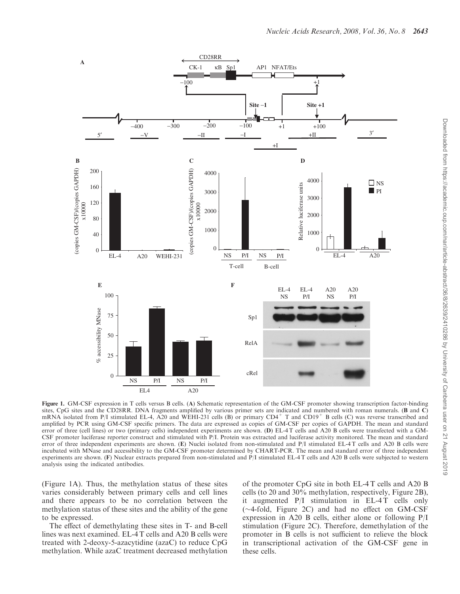

Figure 1. GM-CSF expression in T cells versus B cells. (A) Schematic representation of the GM-CSF promoter showing transcription factor-binding sites, CpG sites and the CD28RR. DNA fragments amplified by various primer sets are indicated and numbered with roman numerals. (B and C) mRNA isolated from P/I stimulated EL-4, A20 and WEHI-231 cells (B) or primary CD4<sup>+</sup> T and CD19<sup>+</sup> B cells (C) was reverse transcribed and amplified by PCR using GM-CSF specific primers. The data are expressed as copies of GM-CSF per copies of GAPDH. The mean and standard error of three (cell lines) or two (primary cells) independent experiments are shown. (D) EL-4 T cells and A20 B cells were transfected with a GM-CSF promoter luciferase reporter construct and stimulated with P/I. Protein was extracted and luciferase activity monitored. The mean and standard error of three independent experiments are shown. (E) Nuclei isolated from non-stimulated and P/I stimulated EL-4 T cells and A20 B cells were incubated with MNase and accessibility to the GM-CSF promoter determined by CHART-PCR. The mean and standard error of three independent experiments are shown. (F) Nuclear extracts prepared from non-stimulated and P/I stimulated EL-4 T cells and A20 B cells were subjected to western analysis using the indicated antibodies.

(Figure 1A). Thus, the methylation status of these sites varies considerably between primary cells and cell lines and there appears to be no correlation between the methylation status of these sites and the ability of the gene to be expressed.

The effect of demethylating these sites in T- and B-cell lines was next examined. EL-4 T cells and A20 B cells were treated with 2-deoxy-5-azacytidine (azaC) to reduce CpG methylation. While azaC treatment decreased methylation of the promoter CpG site in both EL-4 T cells and A20 B cells (to 20 and 30% methylation, respectively, Figure 2B), it augmented P/I stimulation in EL-4 T cells only  $(\sim 4$ -fold, Figure 2C) and had no effect on GM-CSF expression in A20 B cells, either alone or following P/I stimulation (Figure 2C). Therefore, demethylation of the promoter in B cells is not sufficient to relieve the block in transcriptional activation of the GM-CSF gene in these cells.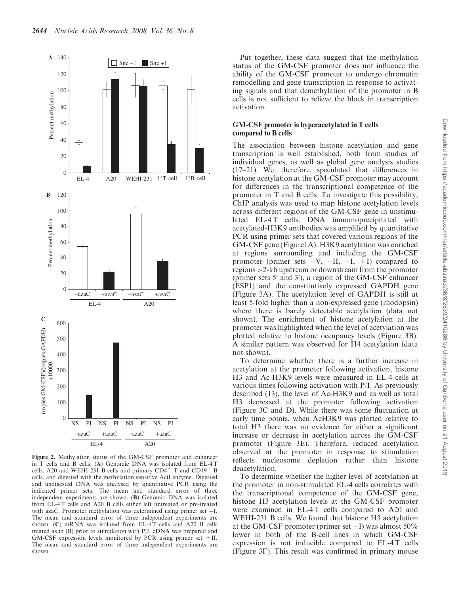![](_page_5_Figure_1.jpeg)

Figure 2. Methylation status of the GM-CSF promoter and enhancer in T cells and B cells. (A) Genomic DNA was isolated from EL-4 T cells, A20 and WEHI-231 B cells and primary  $CD4^+$  T and  $CD19^+$  B cells, and digested with the methylation sensitive AciI enzyme. Digested and undigested DNA was analysed by quantitative PCR using the indicated primer sets. The mean and standard error of three independent experiments are shown. (B) Genomic DNA was isolated from EL-4 T cells and A20 B cells either left untreated or pre-treated with azaC. Promoter methylation was determined using primer set -I. The mean and standard error of three independent experiments are shown. (C) mRNA was isolated from  $EL-4T$  cells and A20 B cells treated as in (B) prior to stimulation with P/I. cDNA was prepared and GM-CSF expression levels monitored by PCR using primer set  $+II$ . The mean and standard error of three independent experiments are shown.

Put together, these data suggest that the methylation status of the GM-CSF promoter does not influence the ability of the GM-CSF promoter to undergo chromatin remodelling and gene transcription in response to activating signals and that demethylation of the promoter in B cells is not sufficient to relieve the block in transcription activation.

## GM-CSF promoter is hyperacetylated in T cells compared to B cells

The association between histone acetylation and gene transcription is well established, both from studies of individual genes, as well as global gene analysis studies (17–21). We, therefore, speculated that differences in histone acetylation at the GM-CSF promoter may account for differences in the transcriptional competence of the promoter in T and B cells. To investigate this possibility, ChIP analysis was used to map histone acetylation levels across different regions of the GM-CSF gene in unstimulated EL-4T cells. DNA immunoprecipitated with acetylated-H3K9 antibodies was amplified by quantitative PCR using primer sets that covered various regions of the GM-CSF gene (Figure1A). H3K9 acetylation was enriched at regions surrounding and including the GM-CSF promoter (primer sets  $-V$ ,  $-II$ ,  $-I$ ,  $+I$ ) compared to regions >2-kb upstream or downstream from the promoter (primer sets  $5'$  and  $3'$ ), a region of the GM-CSF enhancer (ESP1) and the constitutively expressed GAPDH gene (Figure 3A). The acetylation level of GAPDH is still at least 5-fold higher than a non-expressed gene (rhodopsin) where there is barely detectable acetylation (data not shown). The enrichment of histone acetylation at the promoter was highlighted when the level of acetylation was plotted relative to histone occupancy levels (Figure 3B). A similar pattern was observed for H4 acetylation (data not shown).

To determine whether there is a further increase in acetylation at the promoter following activation, histone H3 and Ac-H3K9 levels were measured in EL-4 cells at various times following activation with P/I. As previously described (13), the level of Ac-H3K9 and as well as total H3 decreased at the promoter following activation (Figure 3C and D). While there was some fluctuation at early time points, when AcH3K9 was plotted relative to total H3 there was no evidence for either a significant increase or decrease in acetylation across the GM-CSF promoter (Figure 3E). Therefore, reduced acetylation observed at the promoter in response to stimulation reflects nucleosome depletion rather than histone deacetylation.

To determine whether the higher level of acetylation at the promoter in non-stimulated EL-4 cells correlates with the transcriptional competence of the GM-CSF gene, histone H3 acetylation levels at the GM-CSF promoter were examined in EL-4 T cells compared to A20 and WEHI-231 B cells. We found that histone H3 acetylation at the GM-CSF promoter (primer set  $-I$ ) was almost  $50\%$ lower in both of the B-cell lines in which GM-CSF expression is not inducible compared to EL-4T cells (Figure 3F). This result was confirmed in primary mouse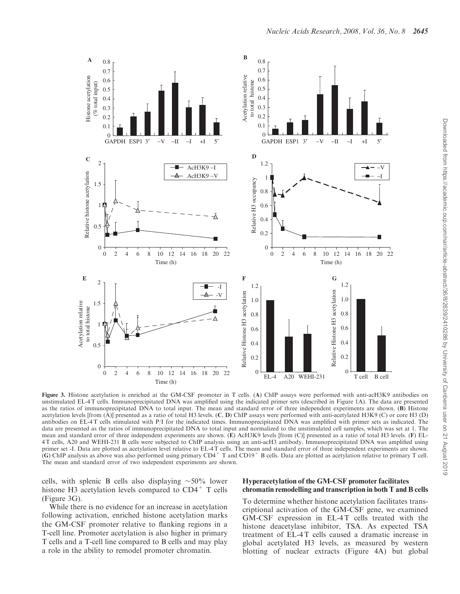![](_page_6_Figure_1.jpeg)

Downloaded from https://academic.oup.com/nar/article-abstract/36/8/2639/2410286 by University of Canberra user on 21 August 2019 Downloaded from https://academic.oup.com/nar/article-abstract/36/8/2639/2410286 by University of Canberra user on 21 August 2019

Figure 3. Histone acetylation is enriched at the GM-CSF promoter in T cells. (A) ChIP assays were performed with anti-acH3K9 antibodies on unstimulated EL-4 T cells. Immunoprecipitated DNA was amplified using the indicated primer sets (described in Figure 1A). The data are presented as the ratios of immunoprecipitated DNA to total input. The mean and standard error of three independent experiments are shown. (B) Histone acetylation levels [from (A)] presented as a ratio of total H3 levels. (C, D) ChIP assays were performed with anti-acetylated H3K9 (C) or core H3 (D) antibodies on EL-4T cells stimulated with P/I for the indicated times. Immunoprecipitated DNA was amplified with primer sets as indicated. The data are presented as the ratios of immunoprecipitated DNA to total input and normalized to the unstimulated cell samples, which was set at 1. The mean and standard error of three independent experiments are shown. (E) AcH3K9 levels [from (C)] presented as a ratio of total H3 levels. (F) EL-4 T cells, A20 and WEHI-231 B cells were subjected to ChIP analysis using an anti-acH3 antibody. Immunoprecipitated DNA was amplified using primer set -I. Data are plotted as acetylation level relative to EL-4 T cells. The mean and standard error of three independent experiments are shown. (G) ChIP analysis as above was also performed using primary  $CD4^+$  T and  $CD19^+$  B cells. Data are plotted as acetylation relative to primary T cell. The mean and standard error of two independent experiments are shown.

cells, with splenic B cells also displaying  $\sim 50\%$  lower histone H3 acetylation levels compared to  $CD4^+$  T cells (Figure 3G).

While there is no evidence for an increase in acetylation following activation, enriched histone acetylation marks the GM-CSF promoter relative to flanking regions in a T-cell line. Promoter acetylation is also higher in primary T cells and a T-cell line compared to B cells and may play a role in the ability to remodel promoter chromatin.

#### Hyperacetylation of the GM-CSF promoter facilitates chromatin remodelling and transcription in both T and B cells

To determine whether histone acetylation facilitates transcriptional activation of the GM-CSF gene, we examined GM-CSF expression in EL-4T cells treated with the histone deacetylase inhibitor, TSA. As expected TSA treatment of EL-4 T cells caused a dramatic increase in global acetylated H3 levels, as measured by western blotting of nuclear extracts (Figure 4A) but global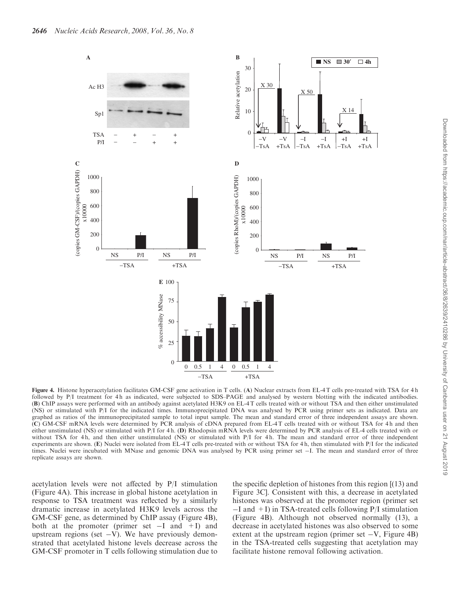![](_page_7_Figure_1.jpeg)

Downloaded from https://academic.oup.com/nar/article-abstract/36/8/2639/2410286 by University of Canberra user on 21 August 2019 Downloaded from https://academic.oup.com/nar/article-abstract/36/8/2639/2410286 by University of Canberra user on 21 August 2019

Figure 4. Histone hyperacetylation facilitates GM-CSF gene activation in T cells. (A) Nuclear extracts from EL-4 T cells pre-treated with TSA for 4 h followed by P/I treatment for 4h as indicated, were subjected to SDS-PAGE and analysed by western blotting with the indicated antibodies. (B) ChIP assays were performed with an antibody against acetylated H3K9 on EL-4 T cells treated with or without TSA and then either unstimulated (NS) or stimulated with P/I for the indicated times. Immunoprecipitated DNA was analysed by PCR using primer sets as indicated. Data are graphed as ratios of the immunoprecipitated sample to total input sample. The mean and standard error of three independent assays are shown. (C) GM-CSF mRNA levels were determined by PCR analysis of cDNA prepared from EL-4 T cells treated with or without TSA for 4 h and then either unstimulated (NS) or stimulated with P/I for 4 h. (D) Rhodopsin mRNA levels were determined by PCR analysis of EL-4 cells treated with or without TSA for 4h, and then either unstimulated (NS) or stimulated with P/I for 4h. The mean and standard error of three independent experiments are shown. (E) Nuclei were isolated from EL-4 T cells pre-treated with or without TSA for 4 h, then stimulated with  $P/I$  for the indicated times. Nuclei were incubated with MNase and genomic DNA was analysed by PCR using primer set -I. The mean and standard error of three replicate assays are shown.

acetylation levels were not affected by P/I stimulation (Figure 4A). This increase in global histone acetylation in response to TSA treatment was reflected by a similarly dramatic increase in acetylated H3K9 levels across the GM-CSF gene, as determined by ChIP assay (Figure 4B), both at the promoter (primer set  $-I$  and  $+I$ ) and upstream regions (set  $-V$ ). We have previously demonstrated that acetylated histone levels decrease across the GM-CSF promoter in T cells following stimulation due to

the specific depletion of histones from this region [(13) and Figure 3C]. Consistent with this, a decrease in acetylated histones was observed at the promoter region (primer set -I and +I) in TSA-treated cells following P/I stimulation (Figure 4B). Although not observed normally (13), a decrease in acetylated histones was also observed to some extent at the upstream region (primer set  $-V$ , Figure 4B) in the TSA-treated cells suggesting that acetylation may facilitate histone removal following activation.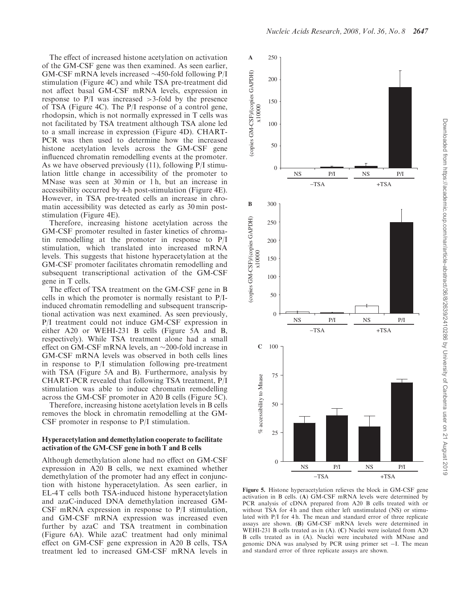The effect of increased histone acetylation on activation of the GM-CSF gene was then examined. As seen earlier, GM-CSF mRNA levels increased  $\sim$ 450-fold following P/I stimulation (Figure 4C) and while TSA pre-treatment did not affect basal GM-CSF mRNA levels, expression in response to  $P/I$  was increased  $>3$ -fold by the presence of TSA (Figure 4C). The P/I response of a control gene, rhodopsin, which is not normally expressed in T cells was not facilitated by TSA treatment although TSA alone led to a small increase in expression (Figure 4D). CHART-PCR was then used to determine how the increased histone acetylation levels across the GM-CSF gene influenced chromatin remodelling events at the promoter. As we have observed previously (11), following P/I stimulation little change in accessibility of the promoter to MNase was seen at 30 min or 1 h, but an increase in accessibility occurred by 4-h post-stimulation (Figure 4E). However, in TSA pre-treated cells an increase in chromatin accessibility was detected as early as 30 min poststimulation (Figure 4E).

Therefore, increasing histone acetylation across the GM-CSF promoter resulted in faster kinetics of chromatin remodelling at the promoter in response to P/I stimulation, which translated into increased mRNA levels. This suggests that histone hyperacetylation at the GM-CSF promoter facilitates chromatin remodelling and subsequent transcriptional activation of the GM-CSF gene in T cells.

The effect of TSA treatment on the GM-CSF gene in B cells in which the promoter is normally resistant to P/Iinduced chromatin remodelling and subsequent transcriptional activation was next examined. As seen previously, P/I treatment could not induce GM-CSF expression in either A20 or WEHI-231 B cells (Figure 5A and B, respectively). While TSA treatment alone had a small effect on GM-CSF mRNA levels, an  $\sim$ 200-fold increase in GM-CSF mRNA levels was observed in both cells lines in response to P/I stimulation following pre-treatment with TSA (Figure 5A and B). Furthermore, analysis by CHART-PCR revealed that following TSA treatment, P/I stimulation was able to induce chromatin remodelling across the GM-CSF promoter in A20 B cells (Figure 5C).

Therefore, increasing histone acetylation levels in B cells removes the block in chromatin remodelling at the GM-CSF promoter in response to P/I stimulation.

## Hyperacetylation and demethylation cooperate to facilitate activation of the GM-CSF gene in both T and B cells

Although demethylation alone had no effect on GM-CSF expression in A20 B cells, we next examined whether demethylation of the promoter had any effect in conjunction with histone hyperacetylation. As seen earlier, in EL-4 T cells both TSA-induced histone hyperacetylation and azaC-induced DNA demethylation increased GM-CSF mRNA expression in response to P/I stimulation, and GM-CSF mRNA expression was increased even further by azaC and TSA treatment in combination (Figure 6A). While azaC treatment had only minimal effect on GM-CSF gene expression in A20 B cells, TSA treatment led to increased GM-CSF mRNA levels in

![](_page_8_Figure_7.jpeg)

Figure 5. Histone hyperacetylation relieves the block in GM-CSF gene activation in B cells. (A) GM-CSF mRNA levels were determined by PCR analysis of cDNA prepared from A20 B cells treated with or without TSA for 4h and then either left unstimulated (NS) or stimulated with P/I for 4 h. The mean and standard error of three replicate assays are shown. (B) GM-CSF mRNA levels were determined in WEHI-231 B cells treated as in (A). (C) Nuclei were isolated from A20 B cells treated as in (A). Nuclei were incubated with MNase and genomic DNA was analysed by PCR using primer set -I. The mean and standard error of three replicate assays are shown.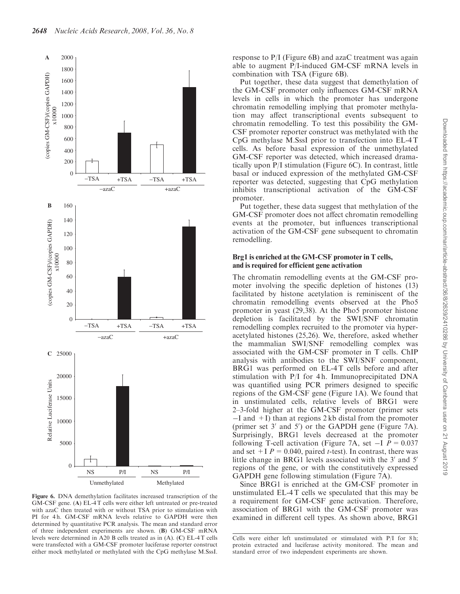![](_page_9_Figure_1.jpeg)

Figure 6. DNA demethylation facilitates increased transcription of the GM-CSF gene. (A) EL-4 T cells were either left untreated or pre-treated with azaC then treated with or without TSA prior to stimulation with PI for 4h. GM-CSF mRNA levels relative to GAPDH were then determined by quantitative PCR analysis. The mean and standard error of three independent experiments are shown. (B) GM-CSF mRNA levels were determined in A20 B cells treated as in (A). (C) EL-4 T cells were transfected with a GM-CSF promoter luciferase reporter construct either mock methylated or methylated with the CpG methylase M.SssI.

response to P/I (Figure 6B) and azaC treatment was again able to augment P/I-induced GM-CSF mRNA levels in combination with TSA (Figure 6B).

Put together, these data suggest that demethylation of the GM-CSF promoter only influences GM-CSF mRNA levels in cells in which the promoter has undergone chromatin remodelling implying that promoter methylation may affect transcriptional events subsequent to chromatin remodelling. To test this possibility the GM-CSF promoter reporter construct was methylated with the CpG methylase M.SssI prior to transfection into EL-4 T cells. As before basal expression of the unmethylated GM-CSF reporter was detected, which increased dramatically upon P/I stimulation (Figure 6C). In contrast, little basal or induced expression of the methylated GM-CSF reporter was detected, suggesting that CpG methylation inhibits transcriptional activation of the GM-CSF promoter.

Put together, these data suggest that methylation of the GM-CSF promoter does not affect chromatin remodelling events at the promoter, but influences transcriptional activation of the GM-CSF gene subsequent to chromatin remodelling.

#### Brg1 is enriched at the GM-CSF promoter in T cells, and is required for efficient gene activation

The chromatin remodelling events at the GM-CSF promoter involving the specific depletion of histones (13) facilitated by histone acetylation is reminiscent of the chromatin remodelling events observed at the Pho5 promoter in yeast (29,38). At the Pho5 promoter histone depletion is facilitated by the SWI/SNF chromatin remodelling complex recruited to the promoter via hyperacetylated histones (25,26). We, therefore, asked whether the mammalian SWI/SNF remodelling complex was associated with the GM-CSF promoter in T cells. ChIP analysis with antibodies to the SWI/SNF component, BRG1 was performed on EL-4 T cells before and after stimulation with P/I for 4 h. Immunoprecipitated DNA was quantified using PCR primers designed to specific regions of the GM-CSF gene (Figure 1A). We found that in unstimulated cells, relative levels of BRG1 were 2–3-fold higher at the GM-CSF promoter (primer sets -I and +I) than at regions 2 kb distal from the promoter (primer set  $3'$  and  $5'$ ) or the GAPDH gene (Figure 7A). Surprisingly, BRG1 levels decreased at the promoter following T-cell activation (Figure 7A, set  $-I$   $P = 0.037$ and set  $+I$   $P = 0.040$ , paired *t*-test). In contrast, there was little change in BRG1 levels associated with the  $3'$  and  $5'$ regions of the gene, or with the constitutively expressed GAPDH gene following stimulation (Figure 7A).

Since BRG1 is enriched at the GM-CSF promoter in unstimulated EL-4 T cells we speculated that this may be a requirement for GM-CSF gene activation. Therefore, association of BRG1 with the GM-CSF promoter was examined in different cell types. As shown above, BRG1

Cells were either left unstimulated or stimulated with P/I for 8 h; protein extracted and luciferase activity monitored. The mean and standard error of two independent experiments are shown.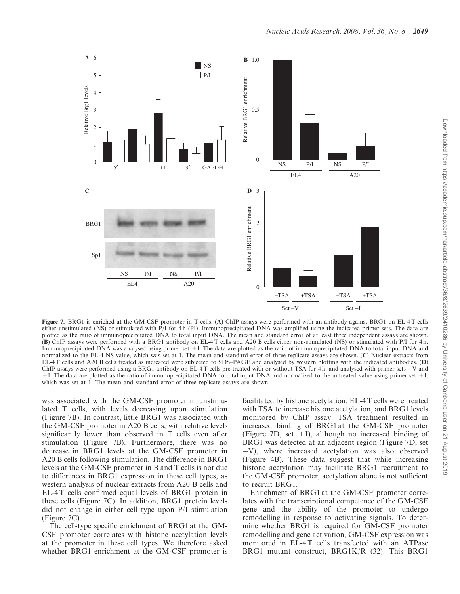![](_page_10_Figure_1.jpeg)

Figure 7. BRG1 is enriched at the GM-CSF promoter in T cells. (A) ChIP assays were performed with an antibody against BRG1 on EL-4 T cells either unstimulated (NS) or stimulated with  $\hat{P}/I$  for 4 h (PI). Immunoprecipitated DNA was amplified using the indicated primer sets. The data are plotted as the ratio of immunoprecipitated DNA to total input DNA. The mean and standard error of at least three independent assays are shown. (B) ChIP assays were performed with a BRG1 antibody on EL-4 T cells and A20 B cells either non-stimulated (NS) or stimulated with P/I for 4 h. Immunoprecipitated DNA was analysed using primer set +I. The data are plotted as the ratio of immunoprecipitated DNA to total input DNA and normalized to the EL-4 NS value, which was set at 1. The mean and standard error of three replicate assays are shown. (C) Nuclear extracts from EL-4 T cells and A20 B cells treated as indicated were subjected to SDS–PAGE and analysed by western blotting with the indicated antibodies. (D) ChIP assays were performed using a BRG1 antibody on EL-4T cells pre-treated with or without TSA for 4h, and analysed with primer sets -V and +I. The data are plotted as the ratio of immunoprecipitated DNA to total input DNA and normalized to the untreated value using primer set +I, which was set at 1. The mean and standard error of three replicate assays are shown.

was associated with the GM-CSF promoter in unstimulated T cells, with levels decreasing upon stimulation (Figure 7B). In contrast, little BRG1 was associated with the GM-CSF promoter in A20 B cells, with relative levels significantly lower than observed in T cells even after stimulation (Figure 7B). Furthermore, there was no decrease in BRG1 levels at the GM-CSF promoter in A20 B cells following stimulation. The difference in BRG1 levels at the GM-CSF promoter in B and T cells is not due to differences in BRG1 expression in these cell types, as western analysis of nuclear extracts from A20 B cells and EL-4 T cells confirmed equal levels of BRG1 protein in these cells (Figure 7C). In addition, BRG1 protein levels did not change in either cell type upon P/I stimulation (Figure 7C).

The cell-type specific enrichment of BRG1 at the GM-CSF promoter correlates with histone acetylation levels at the promoter in these cell types. We therefore asked whether BRG1 enrichment at the GM-CSF promoter is facilitated by histone acetylation. EL-4 T cells were treated with TSA to increase histone acetylation, and BRG1 levels monitored by ChIP assay. TSA treatment resulted in increased binding of BRG1 at the GM-CSF promoter (Figure 7D, set  $+I$ ), although no increased binding of BRG1 was detected at an adjacent region (Figure 7D, set -V), where increased acetylation was also observed (Figure 4B). These data suggest that while increasing histone acetylation may facilitate BRG1 recruitment to the GM-CSF promoter, acetylation alone is not sufficient to recruit BRG1.

Enrichment of BRG1 at the GM-CSF promoter correlates with the transcriptional competence of the GM-CSF gene and the ability of the promoter to undergo remodelling in response to activating signals. To determine whether BRG1 is required for GM-CSF promoter remodelling and gene activation, GM-CSF expression was monitored in EL-4 T cells transfected with an ATPase BRG1 mutant construct, BRG1K/R (32). This BRG1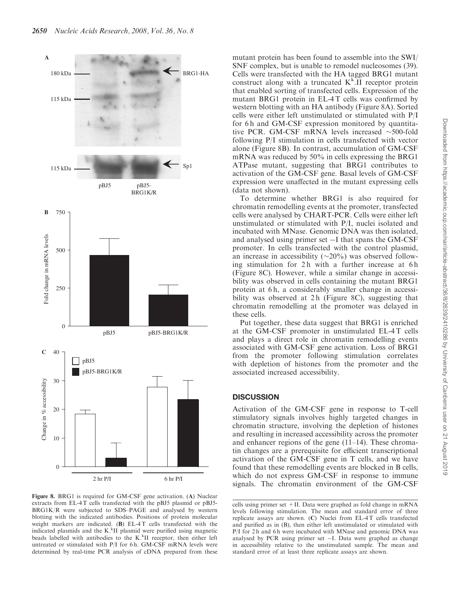![](_page_11_Figure_1.jpeg)

Figure 8. BRG1 is required for GM-CSF gene activation. (A) Nuclear extracts from EL-4 T cells transfected with the pBJ5 plasmid or pBJ5- BRG1K/R were subjected to SDS–PAGE and analysed by western blotting with the indicated antibodies. Positions of protein molecular weight markers are indicated. (B) EL-4T cells transfected with the indicated plasmids and the K. $k$ II plasmid were purified using magnetic beads labelled with antibodies to the K.<sup>k</sup>II receptor, then either left untreated or stimulated with  $P/I$  for 6h. GM-CSF mRNA levels were determined by real-time PCR analysis of cDNA prepared from these

mutant protein has been found to assemble into the SWI/ SNF complex, but is unable to remodel nucleosomes (39). Cells were transfected with the HA tagged BRG1 mutant construct along with a truncated  $K<sup>k</sup>$ . II receptor protein that enabled sorting of transfected cells. Expression of the mutant BRG1 protein in EL-4 T cells was confirmed by western blotting with an HA antibody (Figure 8A). Sorted cells were either left unstimulated or stimulated with P/I for 6h and GM-CSF expression monitored by quantitative PCR. GM-CSF mRNA levels increased  $\sim$ 500-fold following P/I stimulation in cells transfected with vector alone (Figure 8B). In contrast, accumulation of GM-CSF mRNA was reduced by 50% in cells expressing the BRG1 ATPase mutant, suggesting that BRG1 contributes to activation of the GM-CSF gene. Basal levels of GM-CSF expression were unaffected in the mutant expressing cells (data not shown).

To determine whether BRG1 is also required for chromatin remodelling events at the promoter, transfected cells were analysed by CHART-PCR. Cells were either left unstimulated or stimulated with P/I, nuclei isolated and incubated with MNase. Genomic DNA was then isolated, and analysed using primer set -I that spans the GM-CSF promoter. In cells transfected with the control plasmid, an increase in accessibility  $(\sim 20\%)$  was observed following stimulation for 2 h with a further increase at 6 h (Figure 8C). However, while a similar change in accessibility was observed in cells containing the mutant BRG1 protein at 6 h, a considerably smaller change in accessibility was observed at  $2h$  (Figure 8C), suggesting that chromatin remodelling at the promoter was delayed in these cells.

Put together, these data suggest that BRG1 is enriched at the GM-CSF promoter in unstimulated EL-4 T cells and plays a direct role in chromatin remodelling events associated with GM-CSF gene activation. Loss of BRG1 from the promoter following stimulation correlates with depletion of histones from the promoter and the associated increased accessibility.

# **DISCUSSION**

Activation of the GM-CSF gene in response to T-cell stimulatory signals involves highly targeted changes in chromatin structure, involving the depletion of histones and resulting in increased accessibility across the promoter and enhancer regions of the gene (11–14). These chromatin changes are a prerequisite for efficient transcriptional activation of the GM-CSF gene in T cells, and we have found that these remodelling events are blocked in B cells, which do not express GM-CSF in response to immune signals. The chromatin environment of the GM-CSF

cells using primer set +II. Data were graphed as fold change in mRNA levels following stimulation. The mean and standard error of three replicate assays are shown. (C) Nuclei from EL-4 T cells transfected and purified as in (B), then either left unstimulated or stimulated with P/I for 2h and 6h were incubated with MNase and genomic DNA was analysed by PCR using primer set -I. Data were graphed as change in accessibility relative to the unstimulated sample. The mean and standard error of at least three replicate assays are shown.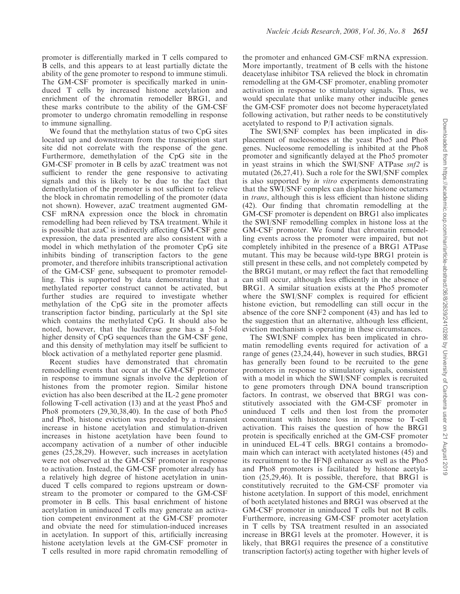promoter is differentially marked in T cells compared to B cells, and this appears to at least partially dictate the ability of the gene promoter to respond to immune stimuli. The GM-CSF promoter is specifically marked in uninduced T cells by increased histone acetylation and enrichment of the chromatin remodeller BRG1, and these marks contribute to the ability of the GM-CSF promoter to undergo chromatin remodelling in response to immune signalling.

We found that the methylation status of two CpG sites located up and downstream from the transcription start site did not correlate with the response of the gene. Furthermore, demethylation of the CpG site in the GM-CSF promoter in B cells by azaC treatment was not sufficient to render the gene responsive to activating signals and this is likely to be due to the fact that demethylation of the promoter is not sufficient to relieve the block in chromatin remodelling of the promoter (data not shown). However, azaC treatment augmented GM-CSF mRNA expression once the block in chromatin remodelling had been relieved by TSA treatment. While it is possible that azaC is indirectly affecting GM-CSF gene expression, the data presented are also consistent with a model in which methylation of the promoter CpG site inhibits binding of transcription factors to the gene promoter, and therefore inhibits transcriptional activation of the GM-CSF gene, subsequent to promoter remodelling. This is supported by data demonstrating that a methylated reporter construct cannot be activated, but further studies are required to investigate whether methylation of the CpG site in the promoter affects transcription factor binding, particularly at the Sp1 site which contains the methylated CpG. It should also be noted, however, that the luciferase gene has a 5-fold higher density of CpG sequences than the GM-CSF gene, and this density of methylation may itself be sufficient to block activation of a methylated reporter gene plasmid.

Recent studies have demonstrated that chromatin remodelling events that occur at the GM-CSF promoter in response to immune signals involve the depletion of histones from the promoter region. Similar histone eviction has also been described at the IL-2 gene promoter following T-cell activation (13) and at the yeast Pho5 and Pho8 promoters (29,30,38,40). In the case of both Pho5 and Pho8, histone eviction was preceded by a transient increase in histone acetylation and stimulation-driven increases in histone acetylation have been found to accompany activation of a number of other inducible genes (25,28,29). However, such increases in acetylation were not observed at the GM-CSF promoter in response to activation. Instead, the GM-CSF promoter already has a relatively high degree of histone acetylation in uninduced T cells compared to regions upstream or downstream to the promoter or compared to the GM-CSF promoter in B cells. This basal enrichment of histone acetylation in uninduced T cells may generate an activation competent environment at the GM-CSF promoter and obviate the need for stimulation-induced increases in acetylation. In support of this, artificially increasing histone acetylation levels at the GM-CSF promoter in T cells resulted in more rapid chromatin remodelling of the promoter and enhanced GM-CSF mRNA expression. More importantly, treatment of B cells with the histone deacetylase inhibitor TSA relieved the block in chromatin remodelling at the GM-CSF promoter, enabling promoter activation in response to stimulatory signals. Thus, we would speculate that unlike many other inducible genes the GM-CSF promoter does not become hyperacetylated following activation, but rather needs to be constitutively acetylated to respond to P/I activation signals.

The SWI/SNF complex has been implicated in displacement of nucleosomes at the yeast Pho5 and Pho8 genes. Nucleosome remodelling is inhibited at the Pho8 promoter and significantly delayed at the Pho5 promoter in yeast strains in which the SWI/SNF ATPase snf2 is mutated (26,27,41). Such a role for the SWI/SNF complex is also supported by in vitro experiments demonstrating that the SWI/SNF complex can displace histone octamers in trans, although this is less efficient than histone sliding (42). Our finding that chromatin remodelling at the GM-CSF promoter is dependent on BRG1 also implicates the SWI/SNF remodelling complex in histone loss at the GM-CSF promoter. We found that chromatin remodelling events across the promoter were impaired, but not completely inhibited in the presence of a BRG1 ATPase mutant. This may be because wild-type BRG1 protein is still present in these cells, and not completely competed by the BRG1 mutant, or may reflect the fact that remodelling can still occur, although less efficiently in the absence of BRG1. A similar situation exists at the Pho5 promoter where the SWI/SNF complex is required for efficient histone eviction, but remodelling can still occur in the absence of the core SNF2 component (43) and has led to the suggestion that an alternative, although less efficient, eviction mechanism is operating in these circumstances.

The SWI/SNF complex has been implicated in chromatin remodelling events required for activation of a range of genes (23,24,44), however in such studies, BRG1 has generally been found to be recruited to the gene promoters in response to stimulatory signals, consistent with a model in which the SWI/SNF complex is recruited to gene promoters through DNA bound transcription factors. In contrast, we observed that BRG1 was constitutively associated with the GM-CSF promoter in uninduced T cells and then lost from the promoter concomitant with histone loss in response to T-cell activation. This raises the question of how the BRG1 protein is specifically enriched at the GM-CSF promoter in uninduced EL-4 T cells. BRG1 contains a bromodomain which can interact with acetylated histones (45) and its recruitment to the IFN $\beta$  enhancer as well as the Pho5 and Pho8 promoters is facilitated by histone acetylation (25,29,46). It is possible, therefore, that BRG1 is constitutively recruited to the GM-CSF promoter via histone acetylation. In support of this model, enrichment of both acetylated histones and BRG1 was observed at the GM-CSF promoter in uninduced T cells but not B cells. Furthermore, increasing GM-CSF promoter acetylation in T cells by TSA treatment resulted in an associated increase in BRG1 levels at the promoter. However, it is likely, that BRG1 requires the presence of a constitutive transcription factor(s) acting together with higher levels of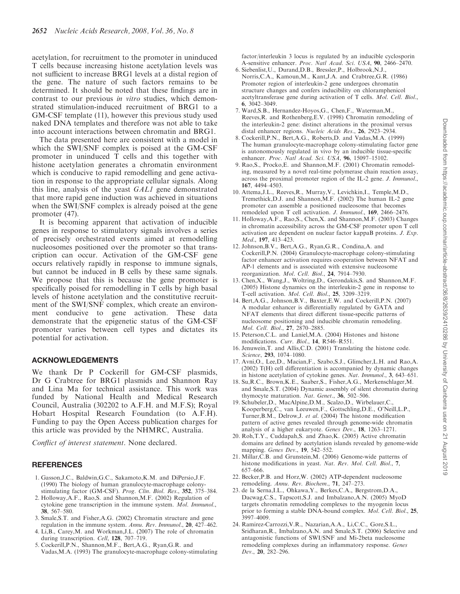acetylation, for recruitment to the promoter in uninduced T cells because increasing histone acetylation levels was not sufficient to increase BRG1 levels at a distal region of the gene. The nature of such factors remains to be determined. It should be noted that these findings are in contrast to our previous in vitro studies, which demonstrated stimulation-induced recruitment of BRG1 to a GM-CSF template (11), however this previous study used naked DNA templates and therefore was not able to take into account interactions between chromatin and BRG1.

The data presented here are consistent with a model in which the SWI/SNF complex is poised at the GM-CSF promoter in uninduced T cells and this together with histone acetylation generates a chromatin environment which is conducive to rapid remodelling and gene activation in response to the appropriate cellular signals. Along this line, analysis of the yeast GAL1 gene demonstrated that more rapid gene induction was achieved in situations when the SWI/SNF complex is already poised at the gene promoter (47).

It is becoming apparent that activation of inducible genes in response to stimulatory signals involves a series of precisely orchestrated events aimed at remodelling nucleosomes positioned over the promoter so that transcription can occur. Activation of the GM-CSF gene occurs relatively rapidly in response to immune signals, but cannot be induced in B cells by these same signals. We propose that this is because the gene promoter is specifically poised for remodelling in T cells by high basal levels of histone acetylation and the constitutive recruitment of the SWI/SNF complex, which create an environment conducive to gene activation. These data demonstrate that the epigenetic status of the GM-CSF promoter varies between cell types and dictates its potential for activation.

# ACKNOWLEDGEMENTS

We thank Dr P Cockerill for GM-CSF plasmids, Dr G Crabtree for BRG1 plasmids and Shannon Ray and Lina Ma for technical assistance. This work was funded by National Health and Medical Research Council, Australia (302202 to A.F.H. and M.F.S); Royal Hobart Hospital Research Foundation (to A.F.H). Funding to pay the Open Access publication charges for this article was provided by the NHMRC, Australia.

Conflict of interest statement. None declared.

# REFERENCES

- 1. Gasson,J.C., Baldwin,G.C., Sakamoto,K.M. and DiPersio,J.F. (1990) The biology of human granulocyte-macrophage colonystimulating factor (GM-CSF). Prog. Clin. Biol. Res., 352, 375-384.
- 2. Holloway,A.F., Rao,S. and Shannon,M.F. (2002) Regulation of cytokine gene transcription in the immune system. Mol. Immunol., 38, 567–580.
- 3. Smale,S.T. and Fisher,A.G. (2002) Chromatin structure and gene regulation in the immune system. Annu. Rev. Immunol., 20, 427-462.
- 4. Li,B., Carey,M. and Workman,J.L. (2007) The role of chromatin during transcription. Cell, 128, 707-719.
- 5. Cockerill,P.N., Shannon,M.F., Bert,A.G., Ryan,G.R. and Vadas,M.A. (1993) The granulocyte-macrophage colony-stimulating

factor/interleukin 3 locus is regulated by an inducible cyclosporin A-sensitive enhancer. Proc. Natl Acad. Sci. USA, 90, 2466–2470.

- 6. Siebenlist,U., Durand,D.B., Bressler,P., Holbrook,N.J., Norris,C.A., Kamoun,M., Kant,J.A. and Crabtree,G.R. (1986) Promoter region of interleukin-2 gene undergoes chromatin structure changes and confers inducibility on chloramphenicol acetyltransferase gene during activation of T cells. Mol. Cell. Biol., 6, 3042–3049.
- 7. Ward,S.B., Hernandez-Hoyos,G., Chen,F., Waterman,M., Reeves,R. and Rothenberg,E.V. (1998) Chromatin remodeling of the interleukin-2 gene: distinct alterations in the proximal versus distal enhancer regions. Nucleic Acids Res., 26, 2923–2934.
- 8. Cockerill,P.N., Bert,A.G., Roberts,D. and Vadas,M.A. (1999) The human granulocyte-macrophage colony-stimulating factor gene is autonomously regulated in vivo by an inducible tissue-specific enhancer. Proc. Natl Acad. Sci. USA, 96, 15097-15102.
- 9. Rao,S., Procko,E. and Shannon,M.F. (2001) Chromatin remodeling, measured by a novel real-time polymerase chain reaction assay, across the proximal promoter region of the IL-2 gene. J. Immunol., 167, 4494–4503.
- 10. Attema,J.L., Reeves,R., Murray,V., Levichkin,I., Temple,M.D., Tremethick,D.J. and Shannon,M.F. (2002) The human IL-2 gene promoter can assemble a positioned nucleosome that becomes remodeled upon T cell activation. J. Immunol., 169, 2466–2476.
- 11. Holloway,A.F., Rao,S., Chen,X. and Shannon,M.F. (2003) Changes in chromatin accessibility across the GM-CSF promoter upon T cell activation are dependent on nuclear factor kappaB proteins. J. Exp. Med., 197, 413–423.
- 12. Johnson,B.V., Bert,A.G., Ryan,G.R., Condina,A. and Cockerill,P.N. (2004) Granulocyte-macrophage colony-stimulating factor enhancer activation requires cooperation between NFAT and AP-1 elements and is associated with extensive nucleosome reorganization. Mol. Cell. Biol., 24, 7914-7930.
- 13. Chen,X., Wang,J., Woltring,D., Gerondakis,S. and Shannon,M.F. (2005) Histone dynamics on the interleukin-2 gene in response to T-cell activation. Mol. Cell. Biol., 25, 3209–3219.
- 14. Bert,A.G., Johnson,B.V., Baxter,E.W. and Cockerill,P.N. (2007) A modular enhancer is differentially regulated by GATA and NFAT elements that direct different tissue-specific patterns of nucleosome positioning and inducible chromatin remodeling. Mol. Cell. Biol., 27, 2870–2885.
- 15. Peterson,C.L. and Laniel,M.A. (2004) Histones and histone modifications. Curr. Biol., 14, R546–R551.
- 16. Jenuwein,T. and Allis,C.D. (2001) Translating the histone code. Science, 293, 1074–1080.
- 17. Avni,O., Lee,D., Macian,F., Szabo,S.J., Glimcher,L.H. and Rao,A. (2002) T(H) cell differentiation is accompanied by dynamic changes in histone acetylation of cytokine genes. Nat. Immunol., 3, 643–651.
- 18. Su,R.C., Brown,K.E., Saaber,S., Fisher,A.G., Merkenschlager,M. and Smale,S.T. (2004) Dynamic assembly of silent chromatin during thymocyte maturation. Nat. Genet., 36, 502-506.
- 19. Schubeler,D., MacAlpine,D.M., Scalzo,D., Wirbelauer,C., Kooperberg,C., van Leeuwen,F., Gottschling,D.E., O'Neill,L.P., Turner, B.M., Delrow, J. et al. (2004) The histone modification pattern of active genes revealed through genome-wide chromatin analysis of a higher eukaryote. Genes Dev., 18, 1263–1271.
- 20. Roh,T.Y., Cuddapah,S. and Zhao,K. (2005) Active chromatin domains are defined by acetylation islands revealed by genome-wide mapping. Genes Dev., 19, 542–552.
- 21. Millar,C.B. and Grunstein,M. (2006) Genome-wide patterns of histone modifications in yeast. Nat. Rev. Mol. Cell. Biol., 7, 657–666.
- 22. Becker,P.B. and Horz,W. (2002) ATP-dependent nucleosome remodeling. Annu. Rev. Biochem., 71, 247–273.
- 23. de la Serna,I.L., Ohkawa,Y., Berkes,C.A., Bergstrom,D.A., Dacwag,C.S., Tapscott,S.J. and Imbalzano,A.N. (2005) MyoD targets chromatin remodeling complexes to the myogenin locus prior to forming a stable DNA-bound complex. Mol. Cell. Biol., 25, 3997–4009.
- 24. Ramirez-Carrozzi,V.R., Nazarian,A.A., Li,C.C., Gore,S.L., Sridharan,R., Imbalzano,A.N. and Smale,S.T. (2006) Selective and antagonistic functions of SWI/SNF and Mi-2beta nucleosome remodeling complexes during an inflammatory response. Genes Dev., 20, 282–296.